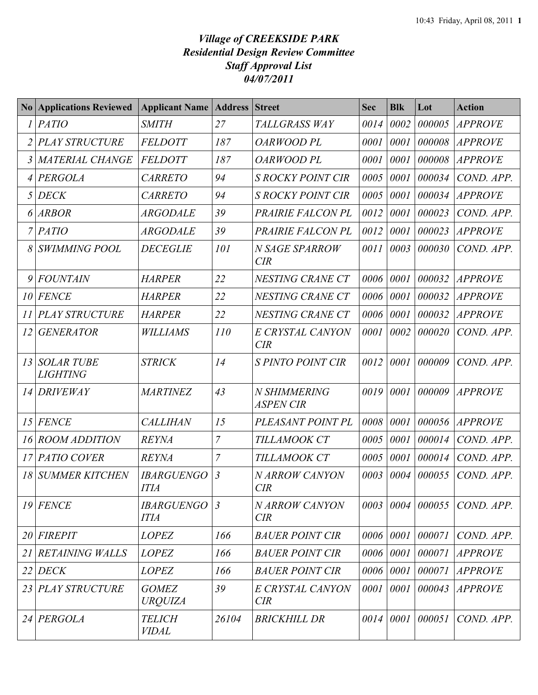## *Village of CREEKSIDE PARK Residential Design Review Committee Staff Approval List 04/07/2011*

|    | <b>No Applications Reviewed</b>      | <b>Applicant Name</b>            | <b>Address Street</b> |                                  | <b>Sec</b> | <b>Blk</b> | Lot    | <b>Action</b>         |
|----|--------------------------------------|----------------------------------|-----------------------|----------------------------------|------------|------------|--------|-----------------------|
|    | <b>PATIO</b>                         | <b>SMITH</b>                     | 27                    | TALLGRASS WAY                    | 0014       | 0002       | 000005 | <b>APPROVE</b>        |
| 2  | <b>PLAY STRUCTURE</b>                | <b>FELDOTT</b>                   | 187                   | OARWOOD PL                       | 0001       | 0001       | 000008 | <b>APPROVE</b>        |
| 3  | <b>MATERIAL CHANGE</b>               | <b>FELDOTT</b>                   | 187                   | <b>OARWOOD PL</b>                | 0001       | 0001       | 000008 | <b>APPROVE</b>        |
|    | PERGOLA                              | <b>CARRETO</b>                   | 94                    | <b>S ROCKY POINT CIR</b>         | 0005       | 0001       | 000034 | COND. APP.            |
| 5  | <b>DECK</b>                          | <b>CARRETO</b>                   | 94                    | <b>S ROCKY POINT CIR</b>         | 0005       | 0001       | 000034 | <b>APPROVE</b>        |
| 6  | <b>ARBOR</b>                         | <b>ARGODALE</b>                  | 39                    | PRAIRIE FALCON PL                | 0012       | 0001       | 000023 | COND. APP.            |
|    | <b>PATIO</b>                         | <b>ARGODALE</b>                  | 39                    | PRAIRIE FALCON PL                | 0012       | 0001       | 000023 | <b>APPROVE</b>        |
|    | <b>SWIMMING POOL</b>                 | <b>DECEGLIE</b>                  | 101                   | N SAGE SPARROW<br>CIR            | 0011       | 0003       | 000030 | COND. APP.            |
| 9  | <b>FOUNTAIN</b>                      | <b>HARPER</b>                    | 22                    | NESTING CRANE CT                 | 0006       | 0001       | 000032 | <b>APPROVE</b>        |
| 10 | <b>FENCE</b>                         | <b>HARPER</b>                    | 22                    | NESTING CRANE CT                 | 0006       | 0001       | 000032 | <b>APPROVE</b>        |
| 11 | <b>PLAY STRUCTURE</b>                | <b>HARPER</b>                    | 22                    | NESTING CRANE CT                 | 0006       | 0001       | 000032 | <b>APPROVE</b>        |
| 12 | <b>GENERATOR</b>                     | <b>WILLIAMS</b>                  | 110                   | E CRYSTAL CANYON<br>CIR          | 0001       | 0002       | 000020 | COND. APP.            |
| 13 | <b>SOLAR TUBE</b><br><b>LIGHTING</b> | <b>STRICK</b>                    | 14                    | <b>S PINTO POINT CIR</b>         | 0012       | 0001       | 000009 | COND. APP.            |
| 14 | <b>DRIVEWAY</b>                      | <b>MARTINEZ</b>                  | 43                    | N SHIMMERING<br><b>ASPEN CIR</b> | 0019       | 0001       | 000009 | <i><b>APPROVE</b></i> |
| 15 | <b>FENCE</b>                         | <b>CALLIHAN</b>                  | 15                    | PLEASANT POINT PL                | 0008       | 0001       | 000056 | <i>APPROVE</i>        |
| 16 | <b>ROOM ADDITION</b>                 | <b>REYNA</b>                     | $\overline{7}$        | TILLAMOOK CT                     | 0005       | 0001       | 000014 | COND. APP.            |
| 17 | <b>PATIO COVER</b>                   | <b>REYNA</b>                     | $\overline{7}$        | TILLAMOOK CT                     | 0005       | 0001       | 000014 | COND. APP.            |
|    | <b>18 SUMMER KITCHEN</b>             | <b>IBARGUENGO</b><br><b>ITIA</b> | $\mathfrak{Z}$        | N ARROW CANYON<br>CIR            | 0003       | 0004       | 000055 | COND. APP.            |
| 19 | <b>FENCE</b>                         | <b>IBARGUENGO</b><br><b>ITIA</b> | $\mathfrak{Z}$        | <b>NARROW CANYON</b><br>CIR      |            | 0003 0004  | 000055 | COND. APP.            |
|    | 20 FIREPIT                           | <b>LOPEZ</b>                     | 166                   | <b>BAUER POINT CIR</b>           |            | 0006 0001  | 000071 | COND. APP.            |
| 21 | <b>RETAINING WALLS</b>               | <b>LOPEZ</b>                     | 166                   | <b>BAUER POINT CIR</b>           | 0006       | 0001       | 000071 | <b>APPROVE</b>        |
| 22 | <b>DECK</b>                          | <b>LOPEZ</b>                     | 166                   | <b>BAUER POINT CIR</b>           | 0006       | 0001       | 000071 | <i>APPROVE</i>        |
|    | 23 PLAY STRUCTURE                    | <b>GOMEZ</b><br><b>URQUIZA</b>   | 39                    | E CRYSTAL CANYON<br>CIR          | 0001       | 0001       | 000043 | <b>APPROVE</b>        |
|    | 24 PERGOLA                           | <b>TELICH</b><br><b>VIDAL</b>    | 26104                 | <b>BRICKHILL DR</b>              | 0014       | 0001       | 000051 | COND. APP.            |